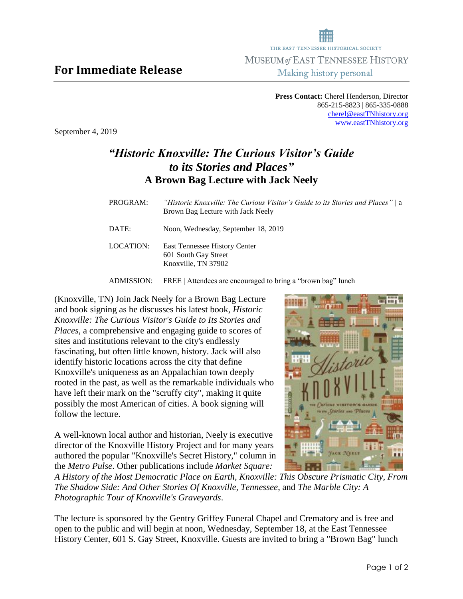**Press Contact:** Cherel Henderson, Director 865-215-8823 | 865-335-0888 [cherel@eastTNhistory.org](mailto:cherel@eastTNhistory.org) [www.eastTNhistory.org](http://www.easttnhistory.org/)

September 4, 2019

**For Immediate Release**

## *"Historic Knoxville: The Curious Visitor's Guide to its Stories and Places"* **A Brown Bag Lecture with Jack Neely**

| PROGRAM:  | "Historic Knoxville: The Curious Visitor's Guide to its Stories and Places" / a<br>Brown Bag Lecture with Jack Neely |
|-----------|----------------------------------------------------------------------------------------------------------------------|
| DATE:     | Noon, Wednesday, September 18, 2019                                                                                  |
| LOCATION: | <b>East Tennessee History Center</b><br>601 South Gay Street<br>Knoxville, TN 37902                                  |

ADMISSION: FREE | Attendees are encouraged to bring a "brown bag" lunch

(Knoxville, TN) Join Jack Neely for a Brown Bag Lecture and book signing as he discusses his latest book, *Historic Knoxville: The Curious Visitor's Guide to Its Stories and Places*, a comprehensive and engaging guide to scores of sites and institutions relevant to the city's endlessly fascinating, but often little known, history. Jack will also identify historic locations across the city that define Knoxville's uniqueness as an Appalachian town deeply rooted in the past, as well as the remarkable individuals who have left their mark on the "scruffy city", making it quite possibly the most American of cities. A book signing will follow the lecture.

A well-known local author and historian, Neely is executive director of the Knoxville History Project and for many years authored the popular "Knoxville's Secret History," column in the *Metro Pulse*. Other publications include *Market Square:* 



*A History of the Most Democratic Place on Earth, Knoxville: This Obscure Prismatic City, From The Shadow Side: And Other Stories Of Knoxville, Tennessee*, and *The Marble City: A Photographic Tour of Knoxville's Graveyards*.

The lecture is sponsored by the Gentry Griffey Funeral Chapel and Crematory and is free and open to the public and will begin at noon, Wednesday, September 18, at the East Tennessee History Center, 601 S. Gay Street, Knoxville. Guests are invited to bring a "Brown Bag" lunch